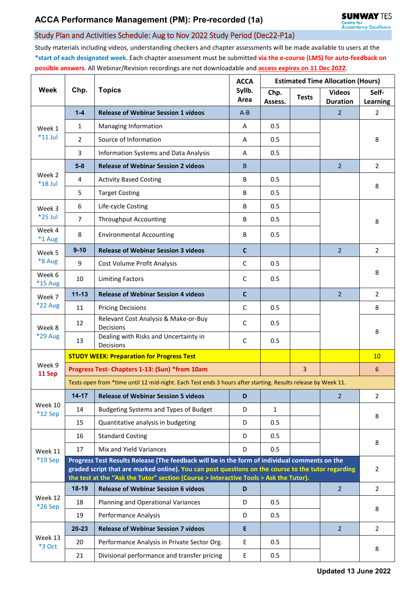## Study Plan and Activities Schedule: Aug to Nov 2022 Study Period (Dec22-P1a)

Study materials including videos, understanding checkers and chapter assessments will be made available to users at the **\*start of each designated week**. Each chapter assessment must be submitted **via the e-course (LMS) for auto-feedback on possible answers**. All Webinar/Revision recordings are not downloadable and **access expires on 11 Dec 2022**.

| <b>Week</b>              | Chp.                                                                                                                                                                                                                                                                                         | <b>Topics</b>                                      | <b>ACCA</b><br>Syllb.<br>Area | <b>Estimated Time Allocation (Hours)</b> |                |                                  |                          |  |
|--------------------------|----------------------------------------------------------------------------------------------------------------------------------------------------------------------------------------------------------------------------------------------------------------------------------------------|----------------------------------------------------|-------------------------------|------------------------------------------|----------------|----------------------------------|--------------------------|--|
|                          |                                                                                                                                                                                                                                                                                              |                                                    |                               | Chp.<br>Assess.                          | <b>Tests</b>   | <b>Videos</b><br><b>Duration</b> | Self-<br><b>Learning</b> |  |
| Week 1<br>$*11$ Jul      | $1 - 4$                                                                                                                                                                                                                                                                                      | <b>Release of Webinar Session 1 videos</b>         | $A - B$                       |                                          |                | $\overline{2}$                   | 2                        |  |
|                          | 1                                                                                                                                                                                                                                                                                            | Managing Information                               | A                             | 0.5                                      |                |                                  |                          |  |
|                          | $\overline{2}$                                                                                                                                                                                                                                                                               | Source of Information                              | A                             | 0.5                                      |                |                                  | 8                        |  |
|                          | 3                                                                                                                                                                                                                                                                                            | <b>Information Systems and Data Analysis</b>       | A                             | 0.5                                      |                |                                  |                          |  |
|                          | $5-8$                                                                                                                                                                                                                                                                                        | <b>Release of Webinar Session 2 videos</b>         | B.                            |                                          |                | $\overline{2}$                   | $\overline{2}$           |  |
| Week 2<br>$*18$ Jul      | 4                                                                                                                                                                                                                                                                                            | <b>Activity Based Costing</b>                      | В                             | 0.5                                      |                |                                  | 8                        |  |
|                          | 5                                                                                                                                                                                                                                                                                            | <b>Target Costing</b>                              | B                             | 0.5                                      |                |                                  |                          |  |
| Week 3<br>$*25$ Jul      | 6                                                                                                                                                                                                                                                                                            | Life-cycle Costing                                 | В                             | 0.5                                      |                |                                  | 8                        |  |
|                          | $\overline{7}$                                                                                                                                                                                                                                                                               | <b>Throughput Accounting</b>                       | B                             | 0.5                                      |                |                                  |                          |  |
| Week 4<br>*1 Aug         | 8                                                                                                                                                                                                                                                                                            | <b>Environmental Accounting</b>                    | B                             | 0.5                                      |                |                                  |                          |  |
| Week 5                   | $9 - 10$                                                                                                                                                                                                                                                                                     | <b>Release of Webinar Session 3 videos</b>         | $\mathbf{C}$                  |                                          |                | $\overline{2}$                   | $\overline{2}$           |  |
| *8 Aug                   | 9                                                                                                                                                                                                                                                                                            | Cost Volume Profit Analysis                        | $\mathsf C$                   | 0.5                                      |                |                                  |                          |  |
| Week 6<br><b>*15 Aug</b> | 10                                                                                                                                                                                                                                                                                           | <b>Limiting Factors</b>                            | $\mathsf{C}$                  | 0.5                                      |                |                                  | 8                        |  |
| Week 7                   | $11 - 13$                                                                                                                                                                                                                                                                                    | <b>Release of Webinar Session 4 videos</b>         | $\mathbf{C}$                  |                                          |                | $\overline{2}$                   | $\overline{2}$           |  |
| <b>*22 Aug</b>           | 11                                                                                                                                                                                                                                                                                           | <b>Pricing Decisions</b>                           | C                             | 0.5                                      |                |                                  | 8                        |  |
| Week 8<br>*29 Aug        | 12                                                                                                                                                                                                                                                                                           | Relevant Cost Analysis & Make-or-Buy<br>Decisions  | C                             | 0.5                                      |                |                                  | 8                        |  |
|                          | 13                                                                                                                                                                                                                                                                                           | Dealing with Risks and Uncertainty in<br>Decisions | C                             | 0.5                                      |                |                                  |                          |  |
|                          |                                                                                                                                                                                                                                                                                              | <b>STUDY WEEK: Preparation for Progress Test</b>   |                               |                                          |                |                                  | 10                       |  |
| Week 9<br>11 Sep         | Progress Test- Chapters 1-13: (Sun) *from 10am                                                                                                                                                                                                                                               |                                                    |                               |                                          | $\overline{3}$ |                                  | 6                        |  |
|                          | Tests open from *time until 12 mid-night. Each Test ends 3 hours after starting. Results release by Week 11.                                                                                                                                                                                 |                                                    |                               |                                          |                |                                  |                          |  |
|                          | $14 - 17$                                                                                                                                                                                                                                                                                    | <b>Release of Webinar Session 5 videos</b>         | D                             |                                          |                | $\overline{2}$                   | 2                        |  |
| Week 10<br>$*12$ Sep     | 14                                                                                                                                                                                                                                                                                           | Budgeting Systems and Types of Budget              | D                             | 1                                        |                |                                  | 8                        |  |
|                          | 15                                                                                                                                                                                                                                                                                           | Quantitative analysis in budgeting                 | D                             | 0.5                                      |                |                                  |                          |  |
| Week 11<br>$*19$ Sep     | 16                                                                                                                                                                                                                                                                                           | <b>Standard Costing</b>                            | D                             | 0.5                                      |                |                                  | 8                        |  |
|                          | 17                                                                                                                                                                                                                                                                                           | Mix and Yield Variances                            | D                             | 0.5                                      |                |                                  |                          |  |
|                          | Progress Test Results Release (The feedback will be in the form of individual comments on the<br>graded script that are marked online). You can post questions on the course to the tutor regarding<br>the test at the "Ask the Tutor" section (Course > Interactive Tools > Ask the Tutor). |                                                    |                               |                                          |                |                                  | $\overline{2}$           |  |
|                          | $18-19$                                                                                                                                                                                                                                                                                      | <b>Release of Webinar Session 6 videos</b>         | D                             |                                          |                | $\overline{2}$                   | $\overline{2}$           |  |
| Week 12<br>*26 Sep       | 18                                                                                                                                                                                                                                                                                           | Planning and Operational Variances                 | D                             | 0.5                                      |                |                                  |                          |  |
|                          | 19                                                                                                                                                                                                                                                                                           | Performance Analysis                               | D                             | 0.5                                      |                |                                  | 8                        |  |
| Week 13<br>*3 Oct        | $20 - 23$                                                                                                                                                                                                                                                                                    | <b>Release of Webinar Session 7 videos</b>         | E                             |                                          |                | $\overline{2}$                   | $\overline{2}$           |  |
|                          | 20                                                                                                                                                                                                                                                                                           | Performance Analysis in Private Sector Org.        | E                             | 0.5                                      |                |                                  | 8                        |  |
|                          | 21                                                                                                                                                                                                                                                                                           | Divisional performance and transfer pricing        | E                             | 0.5                                      |                |                                  |                          |  |